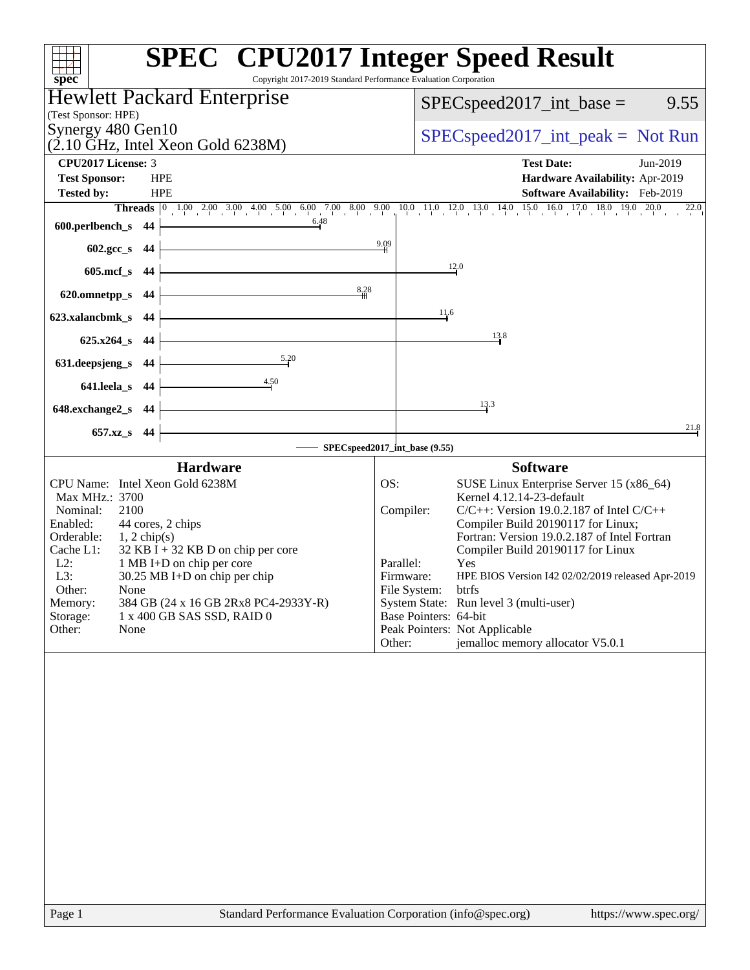| Copyright 2017-2019 Standard Performance Evaluation Corporation<br>spec <sup>®</sup>    | <b>SPEC<sup>®</sup></b> CPU2017 Integer Speed Result                                                                                                                                          |
|-----------------------------------------------------------------------------------------|-----------------------------------------------------------------------------------------------------------------------------------------------------------------------------------------------|
| Hewlett Packard Enterprise                                                              | $SPEC speed2017\_int\_base =$<br>9.55                                                                                                                                                         |
| (Test Sponsor: HPE)                                                                     |                                                                                                                                                                                               |
| Synergy 480 Gen10<br>$(2.10 \text{ GHz}, \text{Intel Xeon Gold } 6238\text{M})$         | $SPEC speed2017\_int\_peak = Not Run$                                                                                                                                                         |
| <b>CPU2017 License: 3</b>                                                               | <b>Test Date:</b><br>Jun-2019                                                                                                                                                                 |
| <b>Test Sponsor:</b><br><b>HPE</b><br><b>Tested by:</b><br><b>HPE</b>                   | Hardware Availability: Apr-2019<br><b>Software Availability:</b> Feb-2019                                                                                                                     |
|                                                                                         | Threads $\begin{bmatrix} 0 & 1.00 & 2.00 & 3.00 & 4.00 & 5.00 & 6.00 & 7.00 & 8.00 & 9.00 & 10.0 & 11.0 & 12.0 & 13.0 & 14.0 & 15.0 & 16.0 & 17.0 & 18.0 & 19.0 & 20.0 \end{bmatrix}$<br>22.0 |
| 600.perlbench_s 44                                                                      |                                                                                                                                                                                               |
| 602.gcc_s 44                                                                            | $\frac{9.09}{4}$                                                                                                                                                                              |
| 605.mcf_s 44                                                                            | 12.0                                                                                                                                                                                          |
| $\frac{8.28}{4}$<br>620.omnetpp_s 44                                                    |                                                                                                                                                                                               |
| 623.xalancbmk s 44                                                                      | 11.6                                                                                                                                                                                          |
| 625.x264_s 44                                                                           | 13.8                                                                                                                                                                                          |
| 5.20<br>631.deepsjeng_s 44                                                              |                                                                                                                                                                                               |
| 4.50                                                                                    |                                                                                                                                                                                               |
| 641.leela_s 44                                                                          | 13.3                                                                                                                                                                                          |
| 648.exchange2_s 44                                                                      | 21.8                                                                                                                                                                                          |
| 657.xz_s 44                                                                             | SPECspeed2017_int_base (9.55)                                                                                                                                                                 |
| <b>Hardware</b>                                                                         | <b>Software</b>                                                                                                                                                                               |
| CPU Name: Intel Xeon Gold 6238M                                                         | OS:<br>SUSE Linux Enterprise Server 15 (x86_64)                                                                                                                                               |
| Max MHz.: 3700<br>2100<br>Nominal:                                                      | Kernel 4.12.14-23-default<br>$C/C++$ : Version 19.0.2.187 of Intel $C/C++$<br>Compiler:                                                                                                       |
| 44 cores, 2 chips<br>Enabled:                                                           | Compiler Build 20190117 for Linux;                                                                                                                                                            |
| Orderable:<br>$1, 2$ chip(s)<br>32 KB $\bar{I}$ + 32 KB D on chip per core<br>Cache L1: | Fortran: Version 19.0.2.187 of Intel Fortran<br>Compiler Build 20190117 for Linux                                                                                                             |
| 1 MB I+D on chip per core<br>$L2$ :                                                     | Parallel:<br>Yes                                                                                                                                                                              |
| L3:<br>30.25 MB I+D on chip per chip<br>Other:<br>None                                  | Firmware:<br>HPE BIOS Version I42 02/02/2019 released Apr-2019<br>File System:<br>btrfs                                                                                                       |
| 384 GB (24 x 16 GB 2Rx8 PC4-2933Y-R)<br>Memory:                                         | System State: Run level 3 (multi-user)                                                                                                                                                        |
| Storage:<br>1 x 400 GB SAS SSD, RAID 0<br>Other:<br>None                                | Base Pointers: 64-bit<br>Peak Pointers: Not Applicable                                                                                                                                        |
|                                                                                         | jemalloc memory allocator V5.0.1<br>Other:                                                                                                                                                    |
|                                                                                         |                                                                                                                                                                                               |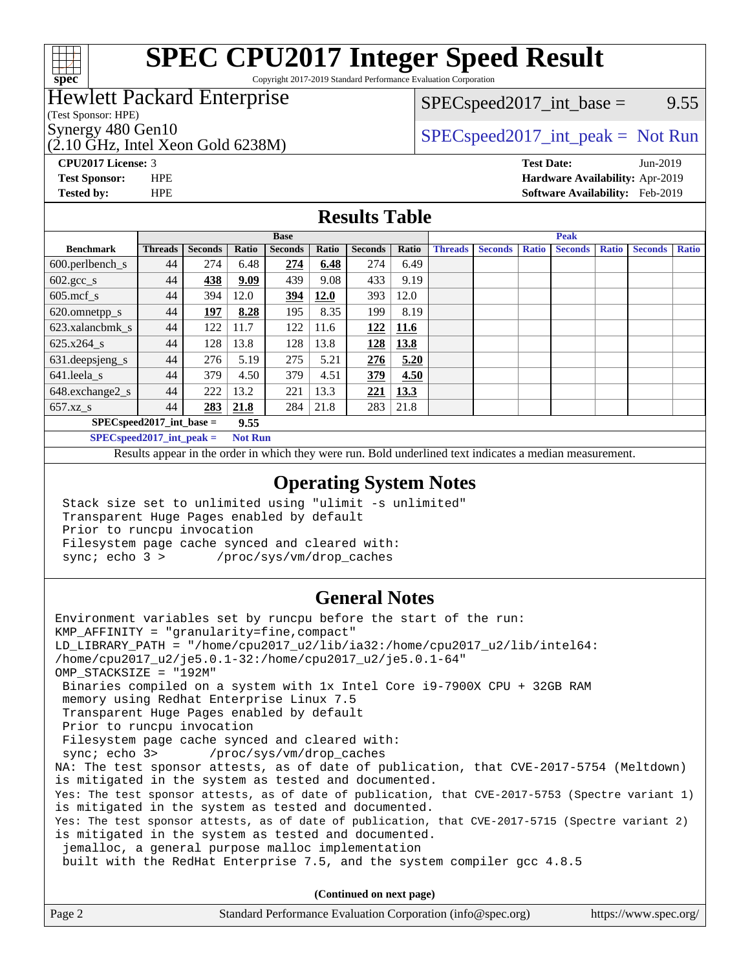

Copyright 2017-2019 Standard Performance Evaluation Corporation

## Hewlett Packard Enterprise

(Test Sponsor: HPE)

(2.10 GHz, Intel Xeon Gold 6238M)

 $SPEC speed2017\_int\_base =$  9.55

## $\text{Synergy } 480 \text{ Gen } 10$ <br> $\text{SPEC speed } 2017 \text{ int }$  peak = Not Run

**[CPU2017 License:](http://www.spec.org/auto/cpu2017/Docs/result-fields.html#CPU2017License)** 3 **[Test Date:](http://www.spec.org/auto/cpu2017/Docs/result-fields.html#TestDate)** Jun-2019 **[Test Sponsor:](http://www.spec.org/auto/cpu2017/Docs/result-fields.html#TestSponsor)** HPE **[Hardware Availability:](http://www.spec.org/auto/cpu2017/Docs/result-fields.html#HardwareAvailability)** Apr-2019 **[Tested by:](http://www.spec.org/auto/cpu2017/Docs/result-fields.html#Testedby)** HPE **[Software Availability:](http://www.spec.org/auto/cpu2017/Docs/result-fields.html#SoftwareAvailability)** Feb-2019

### **[Results Table](http://www.spec.org/auto/cpu2017/Docs/result-fields.html#ResultsTable)**

|                                      | <b>Base</b>    |                |       |                |       |                | <b>Peak</b> |                |                |              |                |              |                |              |
|--------------------------------------|----------------|----------------|-------|----------------|-------|----------------|-------------|----------------|----------------|--------------|----------------|--------------|----------------|--------------|
| <b>Benchmark</b>                     | <b>Threads</b> | <b>Seconds</b> | Ratio | <b>Seconds</b> | Ratio | <b>Seconds</b> | Ratio       | <b>Threads</b> | <b>Seconds</b> | <b>Ratio</b> | <b>Seconds</b> | <b>Ratio</b> | <b>Seconds</b> | <b>Ratio</b> |
| $600.$ perlbench_s                   | 44             | 274            | 6.48  | 274            | 6.48  | 274            | 6.49        |                |                |              |                |              |                |              |
| $602 \text{.} \text{gcc}\text{_<}$ s | 44             | 438            | 9.09  | 439            | 9.08  | 433            | 9.19        |                |                |              |                |              |                |              |
| $605$ .mcf s                         | 44             | 394            | 12.0  | 394            | 12.0  | 393            | 12.0        |                |                |              |                |              |                |              |
| 620.omnetpp_s                        | 44             | 197            | 8.28  | 195            | 8.35  | 199            | 8.19        |                |                |              |                |              |                |              |
| 623.xalancbmk s                      | 44             | 122            | 11.7  | 122            | 11.6  | 122            | 11.6        |                |                |              |                |              |                |              |
| 625.x264 s                           | 44             | 128            | 13.8  | 128            | 13.8  | 128            | 13.8        |                |                |              |                |              |                |              |
| 631.deepsjeng_s                      | 44             | 276            | 5.19  | 275            | 5.21  | 276            | 5.20        |                |                |              |                |              |                |              |
| 641.leela s                          | 44             | 379            | 4.50  | 379            | 4.51  | 379            | 4.50        |                |                |              |                |              |                |              |
| 648.exchange2_s                      | 44             | 222            | 13.2  | 221            | 13.3  | 221            | 13.3        |                |                |              |                |              |                |              |
| $657.xz$ <sub>_S</sub>               | 44             | 283            | 21.8  | 284            | 21.8  | 283            | 21.8        |                |                |              |                |              |                |              |
| $SPECspeed2017$ int base =           |                |                | 9.55  |                |       |                |             |                |                |              |                |              |                |              |

**[SPECspeed2017\\_int\\_peak =](http://www.spec.org/auto/cpu2017/Docs/result-fields.html#SPECspeed2017intpeak) Not Run**

Results appear in the [order in which they were run.](http://www.spec.org/auto/cpu2017/Docs/result-fields.html#RunOrder) Bold underlined text [indicates a median measurement.](http://www.spec.org/auto/cpu2017/Docs/result-fields.html#Median)

### **[Operating System Notes](http://www.spec.org/auto/cpu2017/Docs/result-fields.html#OperatingSystemNotes)**

 Stack size set to unlimited using "ulimit -s unlimited" Transparent Huge Pages enabled by default Prior to runcpu invocation Filesystem page cache synced and cleared with: sync; echo 3 > /proc/sys/vm/drop\_caches

### **[General Notes](http://www.spec.org/auto/cpu2017/Docs/result-fields.html#GeneralNotes)**

Environment variables set by runcpu before the start of the run: KMP\_AFFINITY = "granularity=fine,compact" LD\_LIBRARY\_PATH = "/home/cpu2017\_u2/lib/ia32:/home/cpu2017\_u2/lib/intel64: /home/cpu2017\_u2/je5.0.1-32:/home/cpu2017\_u2/je5.0.1-64" OMP\_STACKSIZE = "192M" Binaries compiled on a system with 1x Intel Core i9-7900X CPU + 32GB RAM memory using Redhat Enterprise Linux 7.5 Transparent Huge Pages enabled by default Prior to runcpu invocation Filesystem page cache synced and cleared with: sync; echo 3> /proc/sys/vm/drop\_caches NA: The test sponsor attests, as of date of publication, that CVE-2017-5754 (Meltdown) is mitigated in the system as tested and documented. Yes: The test sponsor attests, as of date of publication, that CVE-2017-5753 (Spectre variant 1) is mitigated in the system as tested and documented. Yes: The test sponsor attests, as of date of publication, that CVE-2017-5715 (Spectre variant 2) is mitigated in the system as tested and documented. jemalloc, a general purpose malloc implementation built with the RedHat Enterprise 7.5, and the system compiler gcc 4.8.5 **(Continued on next page)**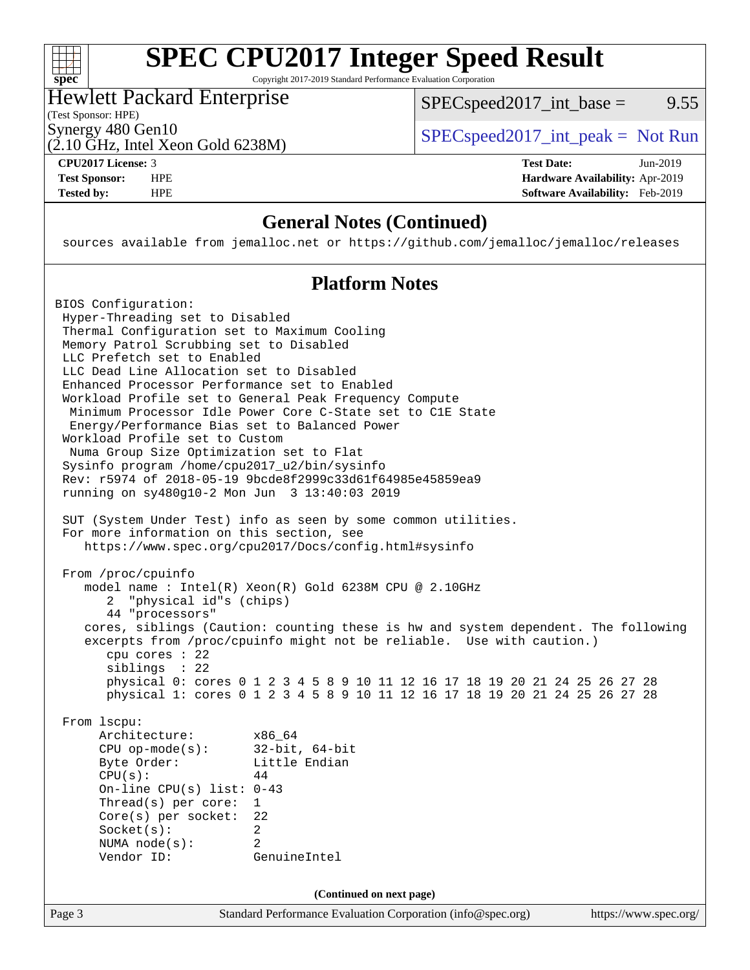| S<br>č | 0 | ť | L. |  |
|--------|---|---|----|--|

Copyright 2017-2019 Standard Performance Evaluation Corporation

### Hewlett Packard Enterprise

 $SPEC speed2017\_int\_base =$  9.55

(Test Sponsor: HPE)

(2.10 GHz, Intel Xeon Gold 6238M)

Synergy 480 Gen10  $SPEC speed2017\_int\_peak = Not Run$ 

**[CPU2017 License:](http://www.spec.org/auto/cpu2017/Docs/result-fields.html#CPU2017License)** 3 **[Test Date:](http://www.spec.org/auto/cpu2017/Docs/result-fields.html#TestDate)** Jun-2019 **[Test Sponsor:](http://www.spec.org/auto/cpu2017/Docs/result-fields.html#TestSponsor)** HPE **[Hardware Availability:](http://www.spec.org/auto/cpu2017/Docs/result-fields.html#HardwareAvailability)** Apr-2019 **[Tested by:](http://www.spec.org/auto/cpu2017/Docs/result-fields.html#Testedby)** HPE **[Software Availability:](http://www.spec.org/auto/cpu2017/Docs/result-fields.html#SoftwareAvailability)** Feb-2019

### **[General Notes \(Continued\)](http://www.spec.org/auto/cpu2017/Docs/result-fields.html#GeneralNotes)**

sources available from jemalloc.net or <https://github.com/jemalloc/jemalloc/releases>

### **[Platform Notes](http://www.spec.org/auto/cpu2017/Docs/result-fields.html#PlatformNotes)**

Page 3 Standard Performance Evaluation Corporation [\(info@spec.org\)](mailto:info@spec.org) <https://www.spec.org/> BIOS Configuration: Hyper-Threading set to Disabled Thermal Configuration set to Maximum Cooling Memory Patrol Scrubbing set to Disabled LLC Prefetch set to Enabled LLC Dead Line Allocation set to Disabled Enhanced Processor Performance set to Enabled Workload Profile set to General Peak Frequency Compute Minimum Processor Idle Power Core C-State set to C1E State Energy/Performance Bias set to Balanced Power Workload Profile set to Custom Numa Group Size Optimization set to Flat Sysinfo program /home/cpu2017\_u2/bin/sysinfo Rev: r5974 of 2018-05-19 9bcde8f2999c33d61f64985e45859ea9 running on sy480g10-2 Mon Jun 3 13:40:03 2019 SUT (System Under Test) info as seen by some common utilities. For more information on this section, see <https://www.spec.org/cpu2017/Docs/config.html#sysinfo> From /proc/cpuinfo model name : Intel(R) Xeon(R) Gold 6238M CPU @ 2.10GHz 2 "physical id"s (chips) 44 "processors" cores, siblings (Caution: counting these is hw and system dependent. The following excerpts from /proc/cpuinfo might not be reliable. Use with caution.) cpu cores : 22 siblings : 22 physical 0: cores 0 1 2 3 4 5 8 9 10 11 12 16 17 18 19 20 21 24 25 26 27 28 physical 1: cores 0 1 2 3 4 5 8 9 10 11 12 16 17 18 19 20 21 24 25 26 27 28 From lscpu: Architecture: x86\_64 CPU op-mode(s): 32-bit, 64-bit Byte Order: Little Endian  $CPU(s):$  44 On-line CPU(s) list: 0-43 Thread(s) per core: 1 Core(s) per socket: 22 Socket(s): 2 NUMA node(s): 2 Vendor ID: GenuineIntel **(Continued on next page)**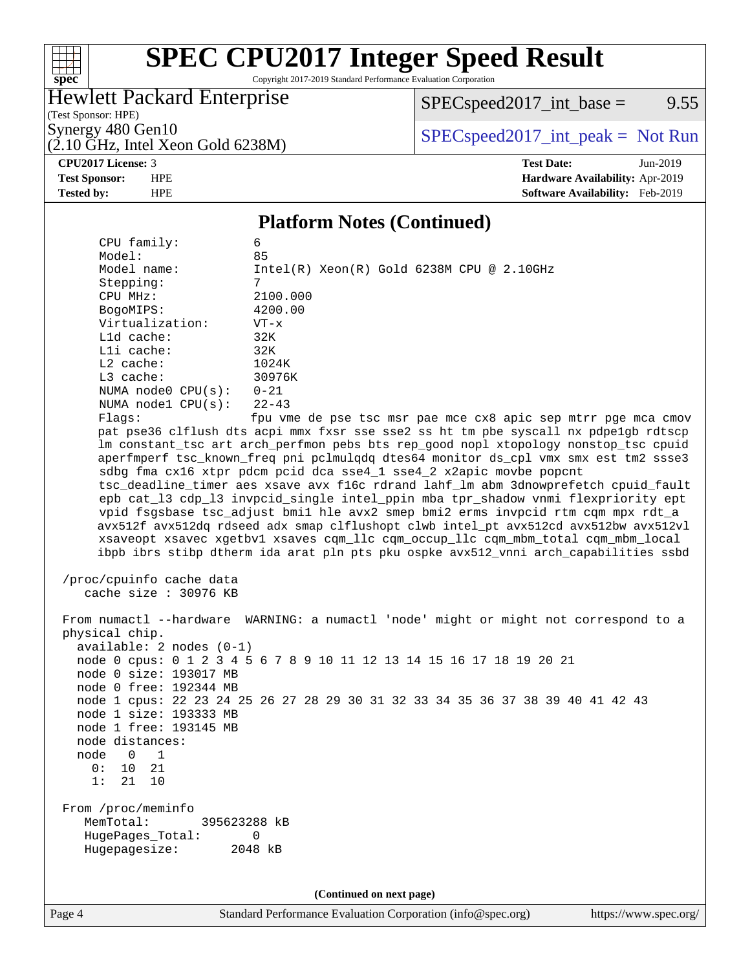### **[spec](http://www.spec.org/)**

# **[SPEC CPU2017 Integer Speed Result](http://www.spec.org/auto/cpu2017/Docs/result-fields.html#SPECCPU2017IntegerSpeedResult)**

Copyright 2017-2019 Standard Performance Evaluation Corporation

## Hewlett Packard Enterprise

(2.10 GHz, Intel Xeon Gold 6238M)

 $SPECspeed2017\_int\_base =$  9.55

(Test Sponsor: HPE)

Synergy 480 Gen10<br>  $SPEC speed2017\_int\_peak = Not Run$ <br>  $SPEC speed2017\_int\_peak = Not Run$ 

**[CPU2017 License:](http://www.spec.org/auto/cpu2017/Docs/result-fields.html#CPU2017License)** 3 **[Test Date:](http://www.spec.org/auto/cpu2017/Docs/result-fields.html#TestDate)** Jun-2019 **[Test Sponsor:](http://www.spec.org/auto/cpu2017/Docs/result-fields.html#TestSponsor)** HPE **[Hardware Availability:](http://www.spec.org/auto/cpu2017/Docs/result-fields.html#HardwareAvailability)** Apr-2019 **[Tested by:](http://www.spec.org/auto/cpu2017/Docs/result-fields.html#Testedby)** HPE **[Software Availability:](http://www.spec.org/auto/cpu2017/Docs/result-fields.html#SoftwareAvailability)** Feb-2019

### **[Platform Notes \(Continued\)](http://www.spec.org/auto/cpu2017/Docs/result-fields.html#PlatformNotes)**

|                            | 1 macrozini 1 volco (Continueu)                                                      |
|----------------------------|--------------------------------------------------------------------------------------|
| CPU family:                | 6                                                                                    |
| Model:                     | 85                                                                                   |
| Model name:                | $Intel(R) Xeon(R) Gold 6238M CPU @ 2.10GHz$                                          |
| Stepping:                  | 7                                                                                    |
| CPU MHz:                   | 2100.000                                                                             |
| BogoMIPS:                  | 4200.00                                                                              |
| Virtualization:            | $VT - x$                                                                             |
| L1d cache:                 | 32K                                                                                  |
| Lli cache:                 | 32K                                                                                  |
| L2 cache:                  | 1024K                                                                                |
| L3 cache:                  | 30976K                                                                               |
| NUMA node0 CPU(s):         | $0 - 21$                                                                             |
| NUMA nodel $CPU(s):$       | $22 - 43$                                                                            |
| Flags:                     | fpu vme de pse tsc msr pae mce cx8 apic sep mtrr pge mca cmov                        |
|                            | pat pse36 clflush dts acpi mmx fxsr sse sse2 ss ht tm pbe syscall nx pdpelgb rdtscp  |
|                            | lm constant_tsc art arch_perfmon pebs bts rep_good nopl xtopology nonstop_tsc cpuid  |
|                            | aperfmperf tsc_known_freq pni pclmulqdq dtes64 monitor ds_cpl vmx smx est tm2 ssse3  |
|                            | sdbg fma cx16 xtpr pdcm pcid dca sse4_1 sse4_2 x2apic movbe popcnt                   |
|                            | tsc_deadline_timer aes xsave avx f16c rdrand lahf_lm abm 3dnowprefetch cpuid_fault   |
|                            | epb cat_13 cdp_13 invpcid_single intel_ppin mba tpr_shadow vnmi flexpriority ept     |
|                            | vpid fsgsbase tsc_adjust bmil hle avx2 smep bmi2 erms invpcid rtm cqm mpx rdt_a      |
|                            | avx512f avx512dq rdseed adx smap clflushopt clwb intel_pt avx512cd avx512bw avx512vl |
|                            | xsaveopt xsavec xgetbvl xsaves cqm_llc cqm_occup_llc cqm_mbm_total cqm_mbm_local     |
|                            | ibpb ibrs stibp dtherm ida arat pln pts pku ospke avx512_vnni arch_capabilities ssbd |
| /proc/cpuinfo cache data   |                                                                                      |
| cache size : 30976 KB      |                                                                                      |
|                            |                                                                                      |
|                            | From numactl --hardware WARNING: a numactl 'node' might or might not correspond to a |
| physical chip.             |                                                                                      |
| $available: 2 nodes (0-1)$ |                                                                                      |
|                            | node 0 cpus: 0 1 2 3 4 5 6 7 8 9 10 11 12 13 14 15 16 17 18 19 20 21                 |
| node 0 size: 193017 MB     |                                                                                      |
| node 0 free: 192344 MB     |                                                                                      |
|                            | node 1 cpus: 22 23 24 25 26 27 28 29 30 31 32 33 34 35 36 37 38 39 40 41 42 43       |
| node 1 size: 193333 MB     |                                                                                      |
| node 1 free: 193145 MB     |                                                                                      |
| node distances:            |                                                                                      |
| node<br>0<br>1             |                                                                                      |
| 0 :<br>10<br>21            |                                                                                      |
| 21<br>1:<br>10             |                                                                                      |
|                            |                                                                                      |
| From /proc/meminfo         |                                                                                      |
| MemTotal:<br>395623288 kB  |                                                                                      |
| HugePages_Total:           | 0                                                                                    |
| Hugepagesize:              | 2048 kB                                                                              |
|                            |                                                                                      |
|                            |                                                                                      |
|                            | (Continued on next page)                                                             |
|                            |                                                                                      |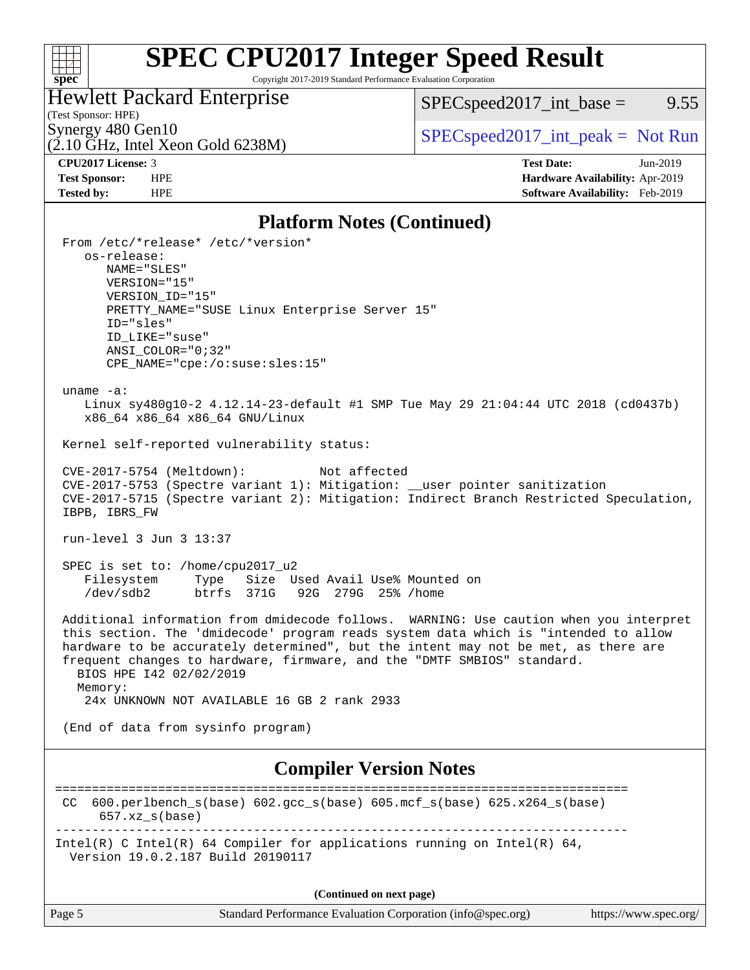Copyright 2017-2019 Standard Performance Evaluation Corporation

Hewlett Packard Enterprise

 $SPECspeed2017\_int\_base =$  9.55

## (Test Sponsor: HPE)

 $(2.10 \text{ GHz}, \text{Intel Xeon Gold } 6238\text{M})$ 

## Synergy 480 Gen10<br>  $SPEC speed2017\_int\_peak = Not Run$ <br>  $SPEC speed2017\_int\_peak = Not Run$

**[spec](http://www.spec.org/)**

 $+\ +$ 

**[CPU2017 License:](http://www.spec.org/auto/cpu2017/Docs/result-fields.html#CPU2017License)** 3 **[Test Date:](http://www.spec.org/auto/cpu2017/Docs/result-fields.html#TestDate)** Jun-2019 **[Test Sponsor:](http://www.spec.org/auto/cpu2017/Docs/result-fields.html#TestSponsor)** HPE **[Hardware Availability:](http://www.spec.org/auto/cpu2017/Docs/result-fields.html#HardwareAvailability)** Apr-2019 **[Tested by:](http://www.spec.org/auto/cpu2017/Docs/result-fields.html#Testedby)** HPE **[Software Availability:](http://www.spec.org/auto/cpu2017/Docs/result-fields.html#SoftwareAvailability)** Feb-2019

### **[Platform Notes \(Continued\)](http://www.spec.org/auto/cpu2017/Docs/result-fields.html#PlatformNotes)**

| From /etc/*release* /etc/*version*<br>os-release:<br>NAME="SLES"<br>VERSION="15"<br>VERSION ID="15"<br>PRETTY_NAME="SUSE Linux Enterprise Server 15"<br>ID="sles"<br>ID LIKE="suse"<br>$ANSI$ _COLOR=" $0:32$ "<br>CPE_NAME="cpe:/o:suse:sles:15"                                                                                                                                                                                   |
|-------------------------------------------------------------------------------------------------------------------------------------------------------------------------------------------------------------------------------------------------------------------------------------------------------------------------------------------------------------------------------------------------------------------------------------|
| uname $-a$ :<br>Linux sy480g10-2 4.12.14-23-default #1 SMP Tue May 29 21:04:44 UTC 2018 (cd0437b)<br>x86_64 x86_64 x86_64 GNU/Linux                                                                                                                                                                                                                                                                                                 |
| Kernel self-reported vulnerability status:                                                                                                                                                                                                                                                                                                                                                                                          |
| CVE-2017-5754 (Meltdown):<br>Not affected<br>CVE-2017-5753 (Spectre variant 1): Mitigation: __user pointer sanitization<br>CVE-2017-5715 (Spectre variant 2): Mitigation: Indirect Branch Restricted Speculation,<br>IBPB, IBRS_FW                                                                                                                                                                                                  |
| run-level 3 Jun 3 13:37                                                                                                                                                                                                                                                                                                                                                                                                             |
| SPEC is set to: /home/cpu2017_u2<br>Filesystem<br>Type Size Used Avail Use% Mounted on<br>/dev/sdb2<br>btrfs 371G 92G 279G 25% / home                                                                                                                                                                                                                                                                                               |
| Additional information from dmidecode follows. WARNING: Use caution when you interpret<br>this section. The 'dmidecode' program reads system data which is "intended to allow<br>hardware to be accurately determined", but the intent may not be met, as there are<br>frequent changes to hardware, firmware, and the "DMTF SMBIOS" standard.<br>BIOS HPE 142 02/02/2019<br>Memory:<br>24x UNKNOWN NOT AVAILABLE 16 GB 2 rank 2933 |
| (End of data from sysinfo program)                                                                                                                                                                                                                                                                                                                                                                                                  |
| <b>Compiler Version Notes</b>                                                                                                                                                                                                                                                                                                                                                                                                       |
| 600.perlbench_s(base) 602.gcc_s(base) 605.mcf_s(base) 625.x264_s(base)<br>CC.<br>$657.xz_s(base)$                                                                                                                                                                                                                                                                                                                                   |
| Intel(R) C Intel(R) 64 Compiler for applications running on Intel(R) 64,<br>Version 19.0.2.187 Build 20190117                                                                                                                                                                                                                                                                                                                       |
| (Continued on next page)                                                                                                                                                                                                                                                                                                                                                                                                            |
|                                                                                                                                                                                                                                                                                                                                                                                                                                     |

Page 5 Standard Performance Evaluation Corporation [\(info@spec.org\)](mailto:info@spec.org) <https://www.spec.org/>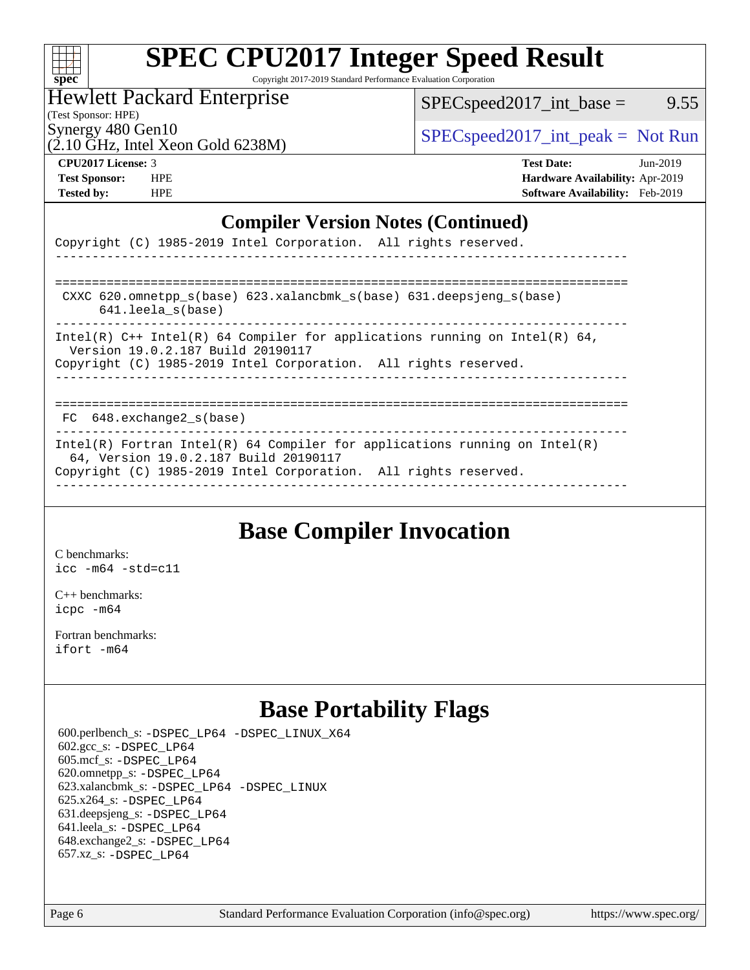| S | 0 | æ | C |  |
|---|---|---|---|--|

Copyright 2017-2019 Standard Performance Evaluation Corporation

## Hewlett Packard Enterprise

 $SPEC speed2017\_int\_base =$  9.55

(Test Sponsor: HPE)

 $\text{Synergy } 480 \text{ Gen } 10$ <br> $\text{SPEC speed } 2017 \text{ int }$  peak = Not Run

# (2.10 GHz, Intel Xeon Gold 6238M)

**[CPU2017 License:](http://www.spec.org/auto/cpu2017/Docs/result-fields.html#CPU2017License)** 3 **[Test Date:](http://www.spec.org/auto/cpu2017/Docs/result-fields.html#TestDate)** Jun-2019 **[Test Sponsor:](http://www.spec.org/auto/cpu2017/Docs/result-fields.html#TestSponsor)** HPE **[Hardware Availability:](http://www.spec.org/auto/cpu2017/Docs/result-fields.html#HardwareAvailability)** Apr-2019 **[Tested by:](http://www.spec.org/auto/cpu2017/Docs/result-fields.html#Testedby)** HPE **[Software Availability:](http://www.spec.org/auto/cpu2017/Docs/result-fields.html#SoftwareAvailability)** Feb-2019

### **[Compiler Version Notes \(Continued\)](http://www.spec.org/auto/cpu2017/Docs/result-fields.html#CompilerVersionNotes)**

| Copyright (C) 1985-2019 Intel Corporation. All rights reserved.                                                                                                                                                               |
|-------------------------------------------------------------------------------------------------------------------------------------------------------------------------------------------------------------------------------|
|                                                                                                                                                                                                                               |
| CXXC 620.omnetpp $s(base)$ 623.xalancbmk $s(base)$ 631.deepsjeng $s(base)$<br>$641.$ leela $s$ (base)                                                                                                                         |
| Intel(R) $C++$ Intel(R) 64 Compiler for applications running on Intel(R) 64,<br>Version 19.0.2.187 Build 20190117<br>Copyright (C) 1985-2019 Intel Corporation. All rights reserved.<br>------------------------------------- |
| $FC$ 648. exchange 2 $s$ (base)                                                                                                                                                                                               |
| Intel(R) Fortran Intel(R) 64 Compiler for applications running on Intel(R)<br>64, Version 19.0.2.187 Build 20190117<br>Copyright (C) 1985-2019 Intel Corporation. All rights reserved.                                        |

## **[Base Compiler Invocation](http://www.spec.org/auto/cpu2017/Docs/result-fields.html#BaseCompilerInvocation)**

[C benchmarks](http://www.spec.org/auto/cpu2017/Docs/result-fields.html#Cbenchmarks): [icc -m64 -std=c11](http://www.spec.org/cpu2017/results/res2019q3/cpu2017-20190624-15617.flags.html#user_CCbase_intel_icc_64bit_c11_33ee0cdaae7deeeab2a9725423ba97205ce30f63b9926c2519791662299b76a0318f32ddfffdc46587804de3178b4f9328c46fa7c2b0cd779d7a61945c91cd35)

[C++ benchmarks:](http://www.spec.org/auto/cpu2017/Docs/result-fields.html#CXXbenchmarks) [icpc -m64](http://www.spec.org/cpu2017/results/res2019q3/cpu2017-20190624-15617.flags.html#user_CXXbase_intel_icpc_64bit_4ecb2543ae3f1412ef961e0650ca070fec7b7afdcd6ed48761b84423119d1bf6bdf5cad15b44d48e7256388bc77273b966e5eb805aefd121eb22e9299b2ec9d9)

[Fortran benchmarks](http://www.spec.org/auto/cpu2017/Docs/result-fields.html#Fortranbenchmarks): [ifort -m64](http://www.spec.org/cpu2017/results/res2019q3/cpu2017-20190624-15617.flags.html#user_FCbase_intel_ifort_64bit_24f2bb282fbaeffd6157abe4f878425411749daecae9a33200eee2bee2fe76f3b89351d69a8130dd5949958ce389cf37ff59a95e7a40d588e8d3a57e0c3fd751)

## **[Base Portability Flags](http://www.spec.org/auto/cpu2017/Docs/result-fields.html#BasePortabilityFlags)**

 600.perlbench\_s: [-DSPEC\\_LP64](http://www.spec.org/cpu2017/results/res2019q3/cpu2017-20190624-15617.flags.html#b600.perlbench_s_basePORTABILITY_DSPEC_LP64) [-DSPEC\\_LINUX\\_X64](http://www.spec.org/cpu2017/results/res2019q3/cpu2017-20190624-15617.flags.html#b600.perlbench_s_baseCPORTABILITY_DSPEC_LINUX_X64) 602.gcc\_s: [-DSPEC\\_LP64](http://www.spec.org/cpu2017/results/res2019q3/cpu2017-20190624-15617.flags.html#suite_basePORTABILITY602_gcc_s_DSPEC_LP64) 605.mcf\_s: [-DSPEC\\_LP64](http://www.spec.org/cpu2017/results/res2019q3/cpu2017-20190624-15617.flags.html#suite_basePORTABILITY605_mcf_s_DSPEC_LP64) 620.omnetpp\_s: [-DSPEC\\_LP64](http://www.spec.org/cpu2017/results/res2019q3/cpu2017-20190624-15617.flags.html#suite_basePORTABILITY620_omnetpp_s_DSPEC_LP64) 623.xalancbmk\_s: [-DSPEC\\_LP64](http://www.spec.org/cpu2017/results/res2019q3/cpu2017-20190624-15617.flags.html#suite_basePORTABILITY623_xalancbmk_s_DSPEC_LP64) [-DSPEC\\_LINUX](http://www.spec.org/cpu2017/results/res2019q3/cpu2017-20190624-15617.flags.html#b623.xalancbmk_s_baseCXXPORTABILITY_DSPEC_LINUX) 625.x264\_s: [-DSPEC\\_LP64](http://www.spec.org/cpu2017/results/res2019q3/cpu2017-20190624-15617.flags.html#suite_basePORTABILITY625_x264_s_DSPEC_LP64) 631.deepsjeng\_s: [-DSPEC\\_LP64](http://www.spec.org/cpu2017/results/res2019q3/cpu2017-20190624-15617.flags.html#suite_basePORTABILITY631_deepsjeng_s_DSPEC_LP64) 641.leela\_s: [-DSPEC\\_LP64](http://www.spec.org/cpu2017/results/res2019q3/cpu2017-20190624-15617.flags.html#suite_basePORTABILITY641_leela_s_DSPEC_LP64) 648.exchange2\_s: [-DSPEC\\_LP64](http://www.spec.org/cpu2017/results/res2019q3/cpu2017-20190624-15617.flags.html#suite_basePORTABILITY648_exchange2_s_DSPEC_LP64) 657.xz\_s: [-DSPEC\\_LP64](http://www.spec.org/cpu2017/results/res2019q3/cpu2017-20190624-15617.flags.html#suite_basePORTABILITY657_xz_s_DSPEC_LP64)